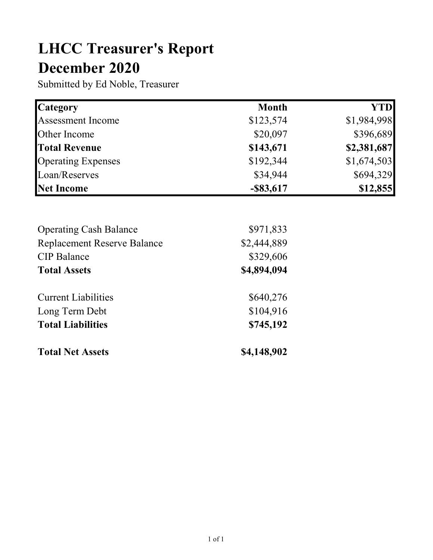## LHCC Treasurer's Report December 2020

Submitted by Ed Noble, Treasurer

| <b>Category</b>           | <b>Month</b> | <b>YTD</b>  |
|---------------------------|--------------|-------------|
| <b>Assessment Income</b>  | \$123,574    | \$1,984,998 |
| Other Income              | \$20,097     | \$396,689   |
| <b>Total Revenue</b>      | \$143,671    | \$2,381,687 |
| <b>Operating Expenses</b> | \$192,344    | \$1,674,503 |
| Loan/Reserves             | \$34,944     | \$694,329   |
| <b>Net Income</b>         | $-$ \$83,617 | \$12,855    |

| <b>Total Net Assets</b>            | \$4,148,902 |
|------------------------------------|-------------|
| <b>Total Liabilities</b>           | \$745,192   |
| Long Term Debt                     | \$104,916   |
| <b>Current Liabilities</b>         | \$640,276   |
| <b>Total Assets</b>                | \$4,894,094 |
| <b>CIP</b> Balance                 | \$329,606   |
| <b>Replacement Reserve Balance</b> | \$2,444,889 |
| <b>Operating Cash Balance</b>      | \$971,833   |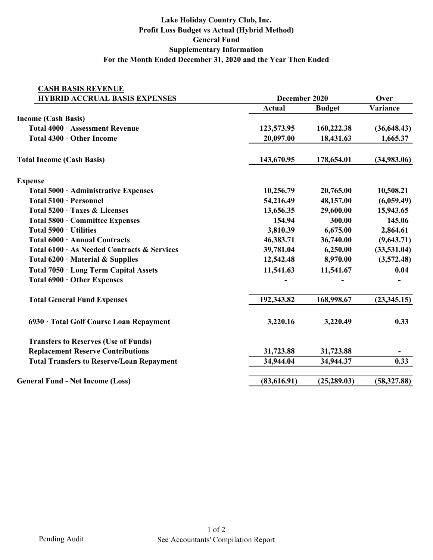## Lake Holiday Country Club, Inc. Profit Loss Budget vs Actual (Hybrid Method) General Fund Supplementary Information For the Month Ended December 31, 2020 and the Year Then Ended

| <b>CASH BASIS REVENUE</b>                        |               |               |              |
|--------------------------------------------------|---------------|---------------|--------------|
| <b>HYBRID ACCRUAL BASIS EXPENSES</b>             | December 2020 | Over          |              |
|                                                  | <b>Actual</b> | <b>Budget</b> | Variance     |
| <b>Income (Cash Basis)</b>                       |               |               |              |
| Total 4000 · Assessment Revenue                  | 123,573.95    | 160,222.38    | (36, 648.43) |
| Total 4300 · Other Income                        | 20,097.00     | 18,431.63     | 1,665.37     |
| <b>Total Income (Cash Basis)</b>                 | 143,670.95    | 178,654.01    | (34,983.06)  |
| <b>Expense</b>                                   |               |               |              |
| Total 5000 · Administrative Expenses             | 10,256.79     | 20,765.00     | 10,508.21    |
| Total 5100 · Personnel                           | 54,216.49     | 48,157.00     | (6,059.49)   |
| Total 5200 · Taxes & Licenses                    | 13,656.35     | 29,600.00     | 15,943.65    |
| Total 5800 · Committee Expenses                  | 154.94        | 300.00        | 145.06       |
| Total 5900 · Utilities                           | 3,810.39      | 6,675.00      | 2,864.61     |
| Total 6000 · Annual Contracts                    | 46,383.71     | 36,740.00     | (9,643.71)   |
| Total 6100 · As Needed Contracts & Services      | 39,781.04     | 6,250.00      | (33,531.04)  |
| Total $6200 \cdot$ Material & Supplies           | 12,542.48     | 8,970.00      | (3,572.48)   |
| Total 7050 · Long Term Capital Assets            | 11,541.63     | 11,541.67     | 0.04         |
| Total 6900 · Other Expenses                      |               |               |              |
| <b>Total General Fund Expenses</b>               | 192,343.82    | 168,998.67    | (23, 345.15) |
| 6930 · Total Golf Course Loan Repayment          | 3,220.16      | 3,220.49      | 0.33         |
| <b>Transfers to Reserves (Use of Funds)</b>      |               |               |              |
| <b>Replacement Reserve Contributions</b>         | 31,723.88     | 31,723.88     |              |
| <b>Total Transfers to Reserve/Loan Repayment</b> | 34,944.04     | 34,944.37     | 0.33         |
| <b>General Fund - Net Income (Loss)</b>          | (83, 616.91)  | (25, 289.03)  | (58, 327.88) |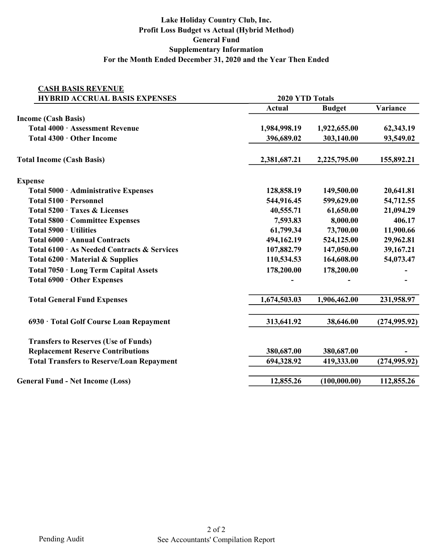## Lake Holiday Country Club, Inc. Profit Loss Budget vs Actual (Hybrid Method) General Fund Supplementary Information For the Month Ended December 31, 2020 and the Year Then Ended

| <b>CASH BASIS REVENUE</b>                        |                        |                 |               |  |
|--------------------------------------------------|------------------------|-----------------|---------------|--|
| <b>HYBRID ACCRUAL BASIS EXPENSES</b>             |                        | 2020 YTD Totals |               |  |
|                                                  | <b>Actual</b>          | <b>Budget</b>   | Variance      |  |
| <b>Income (Cash Basis)</b>                       |                        |                 |               |  |
| Total 4000 · Assessment Revenue                  | 1,984,998.19           | 1,922,655.00    | 62,343.19     |  |
| Total 4300 · Other Income                        | 396,689.02             | 303,140.00      | 93,549.02     |  |
| <b>Total Income (Cash Basis)</b>                 | 2,381,687.21           | 2,225,795.00    | 155,892.21    |  |
| <b>Expense</b>                                   |                        |                 |               |  |
| Total 5000 · Administrative Expenses             | 128,858.19             | 149,500.00      | 20,641.81     |  |
| Total 5100 · Personnel                           | 544,916.45             | 599,629.00      | 54,712.55     |  |
| Total 5200 · Taxes & Licenses                    | 40,555.71              | 61,650.00       |               |  |
| Total 5800 · Committee Expenses                  | 8,000.00<br>7,593.83   |                 | 406.17        |  |
| Total 5900 · Utilities                           | 61,799.34<br>73,700.00 |                 | 11,900.66     |  |
| Total 6000 · Annual Contracts                    | 494,162.19             | 524,125.00      | 29,962.81     |  |
| Total 6100 · As Needed Contracts & Services      | 107,882.79             | 147,050.00      |               |  |
| Total $6200 \cdot$ Material & Supplies           | 110,534.53             | 164,608.00      | 54,073.47     |  |
| Total 7050 · Long Term Capital Assets            | 178,200.00             | 178,200.00      |               |  |
| Total 6900 · Other Expenses                      |                        |                 |               |  |
| <b>Total General Fund Expenses</b>               | 1,674,503.03           | 1,906,462.00    | 231,958.97    |  |
| 6930 · Total Golf Course Loan Repayment          | 313,641.92             | 38,646.00       | (274, 995.92) |  |
| <b>Transfers to Reserves (Use of Funds)</b>      |                        |                 |               |  |
| <b>Replacement Reserve Contributions</b>         | 380,687.00             | 380,687.00      |               |  |
| <b>Total Transfers to Reserve/Loan Repayment</b> | 694,328.92             | 419,333.00      | (274, 995.92) |  |
| <b>General Fund - Net Income (Loss)</b>          | 12,855.26              | (100,000.00)    | 112,855.26    |  |